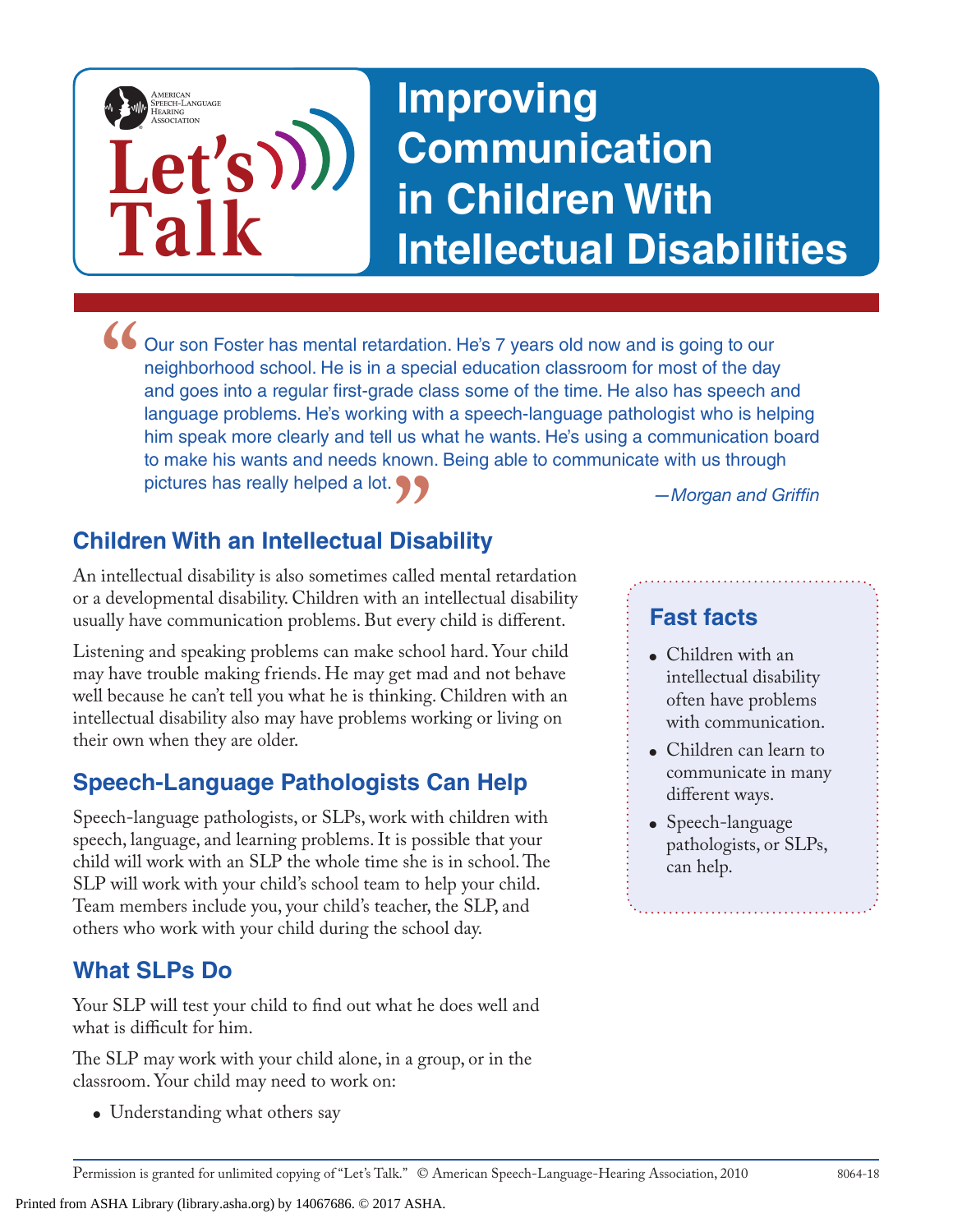

• Our son Foster has mental retardation. He's 7 years old now and is going to our neighborhood school. He is in a special education classroom for most of the day and goes into a regular first-grade class some of the time. *P* **7<br>Disability<br>called mental retardation<br>called mental retardation** neighborhood school. He is in a special education classroom for most of the day and goes into a regular first-grade class some of the time. He also has speech and language problems. He's working with a speech-language pathologist who is helping him speak more clearly and tell us what he wants. He's using a communication board to make his wants and needs known. Being able to communicate with us through pictures has really helped a lot.

## **Children With an Intellectual Disability**

An intellectual disability is also sometimes called mental retardation or a developmental disability. Children with an intellectual disability usually have communication problems. But every child is different.

Listening and speaking problems can make school hard. Your child may have trouble making friends. He may get mad and not behave well because he can't tell you what he is thinking. Children with an intellectual disability also may have problems working or living on their own when they are older.

### **Speech-Language Pathologists Can Help**

Speech-language pathologists, or SLPs, work with children with speech, language, and learning problems. It is possible that your child will work with an SLP the whole time she is in school. The SLP will work with your child's school team to help your child. Team members include you, your child's teacher, the SLP, and others who work with your child during the school day.

### **What SLPs Do**

Your SLP will test your child to find out what he does well and what is difficult for him.

The SLP may work with your child alone, in a group, or in the classroom. Your child may need to work on:

• Understanding what others say

#### **Fast facts**

- Children with an intellectual disability often have problems with communication.
- Children can learn to communicate in many different ways.
- Speech-language pathologists, or SLPs, can help.

Printed from ASHA Library (library.asha.org) by 14067686. © 2017 ASHA.